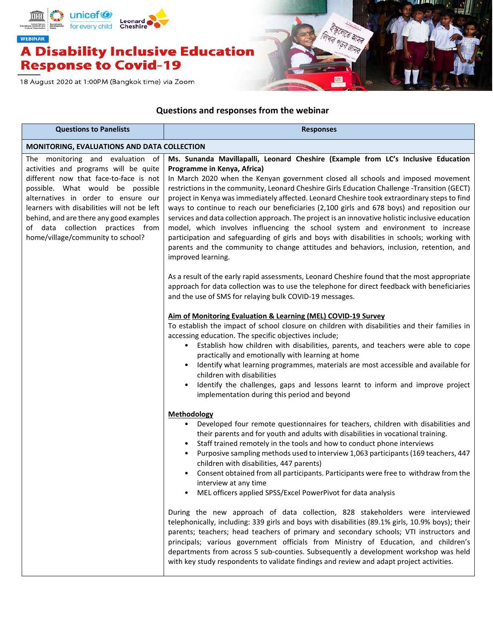

18 August 2020 at 1:00PM (Bangkok time) via Zoom



## **Questions and responses from the webinar**

| <b>Questions to Panelists</b>                                                                                                                                                                                                                                                                                                                                      | <b>Responses</b>                                                                                                                                                                                                                                                                                                                                                                                                                                                                                                                                                                                                                                                                                                                                                                                                                                                                                                                                                                                                                                                                                                                                   |
|--------------------------------------------------------------------------------------------------------------------------------------------------------------------------------------------------------------------------------------------------------------------------------------------------------------------------------------------------------------------|----------------------------------------------------------------------------------------------------------------------------------------------------------------------------------------------------------------------------------------------------------------------------------------------------------------------------------------------------------------------------------------------------------------------------------------------------------------------------------------------------------------------------------------------------------------------------------------------------------------------------------------------------------------------------------------------------------------------------------------------------------------------------------------------------------------------------------------------------------------------------------------------------------------------------------------------------------------------------------------------------------------------------------------------------------------------------------------------------------------------------------------------------|
| <b>MONITORING, EVALUATIONS AND DATA COLLECTION</b>                                                                                                                                                                                                                                                                                                                 |                                                                                                                                                                                                                                                                                                                                                                                                                                                                                                                                                                                                                                                                                                                                                                                                                                                                                                                                                                                                                                                                                                                                                    |
| The monitoring and evaluation of<br>activities and programs will be quite<br>different now that face-to-face is not<br>possible. What would be possible<br>alternatives in order to ensure our<br>learners with disabilities will not be left<br>behind, and are there any good examples<br>of data collection practices from<br>home/village/community to school? | Ms. Sunanda Mavillapalli, Leonard Cheshire (Example from LC's Inclusive Education<br>Programme in Kenya, Africa)<br>In March 2020 when the Kenyan government closed all schools and imposed movement<br>restrictions in the community, Leonard Cheshire Girls Education Challenge -Transition (GECT)<br>project in Kenya was immediately affected. Leonard Cheshire took extraordinary steps to find<br>ways to continue to reach our beneficiaries (2,100 girls and 678 boys) and reposition our<br>services and data collection approach. The project is an innovative holistic inclusive education<br>model, which involves influencing the school system and environment to increase<br>participation and safeguarding of girls and boys with disabilities in schools; working with<br>parents and the community to change attitudes and behaviors, inclusion, retention, and<br>improved learning.                                                                                                                                                                                                                                            |
|                                                                                                                                                                                                                                                                                                                                                                    | As a result of the early rapid assessments, Leonard Cheshire found that the most appropriate<br>approach for data collection was to use the telephone for direct feedback with beneficiaries<br>and the use of SMS for relaying bulk COVID-19 messages.<br>Aim of Monitoring Evaluation & Learning (MEL) COVID-19 Survey<br>To establish the impact of school closure on children with disabilities and their families in<br>accessing education. The specific objectives include;<br>• Establish how children with disabilities, parents, and teachers were able to cope<br>practically and emotionally with learning at home<br>Identify what learning programmes, materials are most accessible and available for<br>$\bullet$<br>children with disabilities<br>Identify the challenges, gaps and lessons learnt to inform and improve project<br>implementation during this period and beyond                                                                                                                                                                                                                                                  |
|                                                                                                                                                                                                                                                                                                                                                                    | <b>Methodology</b><br>Developed four remote questionnaires for teachers, children with disabilities and<br>their parents and for youth and adults with disabilities in vocational training.<br>Staff trained remotely in the tools and how to conduct phone interviews<br>Purposive sampling methods used to interview 1,063 participants (169 teachers, 447<br>children with disabilities, 447 parents)<br>Consent obtained from all participants. Participants were free to withdraw from the<br>interview at any time<br>MEL officers applied SPSS/Excel PowerPivot for data analysis<br>During the new approach of data collection, 828 stakeholders were interviewed<br>telephonically, including: 339 girls and boys with disabilities (89.1% girls, 10.9% boys); their<br>parents; teachers; head teachers of primary and secondary schools; VTI instructors and<br>principals; various government officials from Ministry of Education, and children's<br>departments from across 5 sub-counties. Subsequently a development workshop was held<br>with key study respondents to validate findings and review and adapt project activities. |